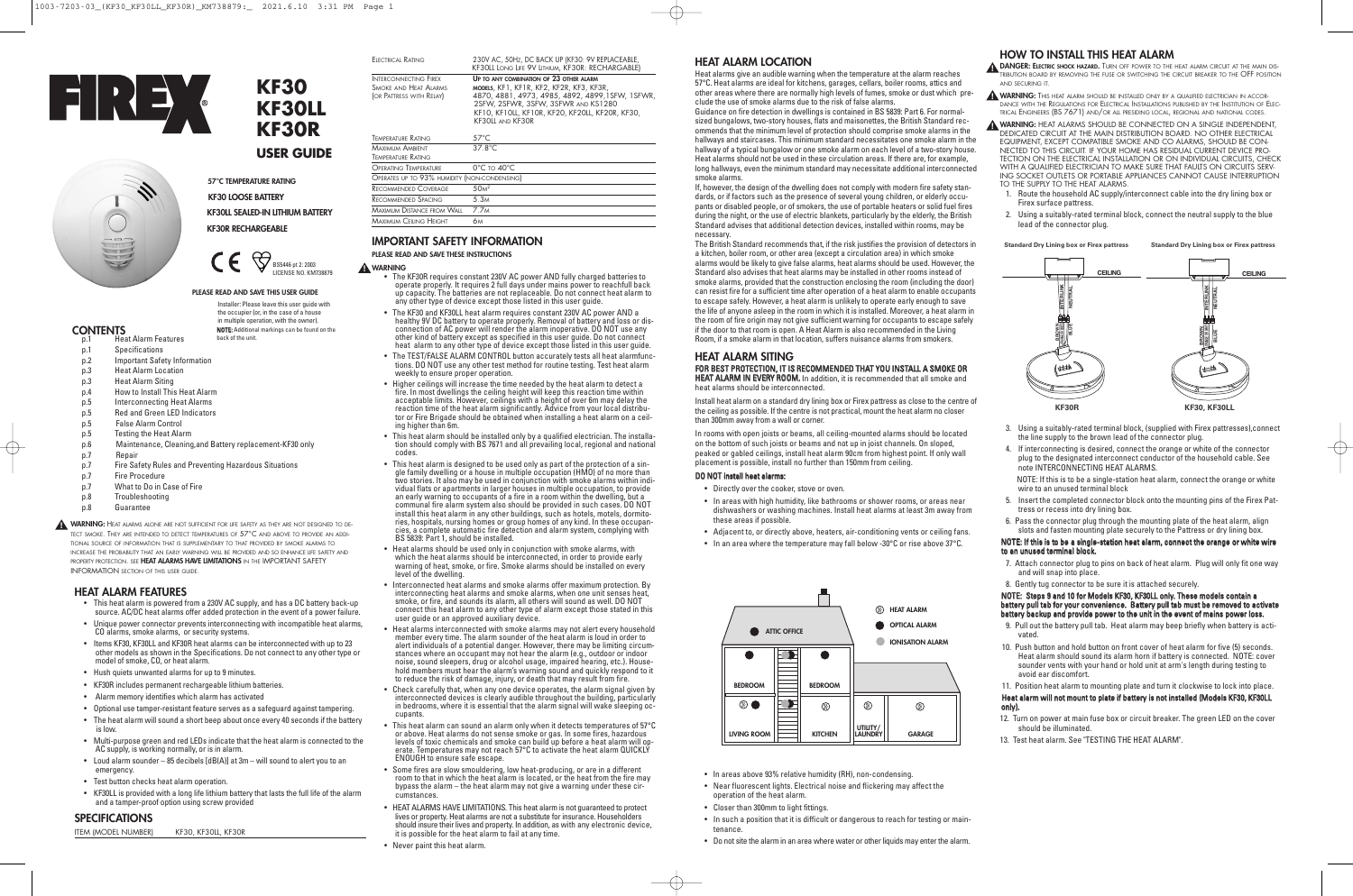# **HOW TO INSTALL THIS HEAT ALARM**

**DANGER:** ELECTRIC SHOCK HAZARD. TURN OFF POWER TO THE HEAT ALARM CIRCUIT AT THE MAIN DIS-TRIBUTION BOARD BY REMOVING THE FUSE OR SWITCHING THE CIRCUIT BREAKER TO THE OFF POSITION AND SECURING IT.

**WARNING:** THIS HEAT ALARM SHOULD BE INSTALLED ONLY BY A QUALIFIED ELECTRICIAN IN ACCOR-**!** DANCE WITH THE REGULATIONS FOR ELECTRICAL INSTALLATIONS PUBLISHED BY THE INSTITUTION OF ELEC-TRICAL ENGINEERS (BS 7671) AND/OR ALL PRESIDING LOCAL, REGIONAL AND NATIONAL CODES.

- 3. Using a suitably-rated terminal block, (supplied with Firex pattresses),connect the line supply to the brown lead of the connector plug.
- 4. If interconnecting is desired, connect the orange or white of the connector plug to the designated interconnect conductor of the household cable. See note INTERCONNECTING HEAT ALARMS.

**WARNING:** HEAT ALARMS SHOULD BE CONNECTED ON A SINGLE INDEPENDENT, **!** DEDICATED CIRCUIT AT THE MAIN DISTRIBUTION BOARD. NO OTHER ELECTRICAL EQUIPMENT, EXCEPT COMPATIBLE SMOKE AND CO ALARMS, SHOULD BE CON-NECTED TO THIS CIRCUIT. IF YOUR HOME HAS RESIDUAL CURRENT DEVICE PRO-TECTION ON THE ELECTRICAL INSTALLATION OR ON INDIVIDUAL CIRCUITS, CHECK WITH A QUALIFIED ELECTRICIAN TO MAKE SURE THAT FAULTS ON CIRCUITS SERV-ING SOCKET OUTLETS OR PORTABLE APPLIANCES CANNOT CAUSE INTERRUPTION TO THE SUPPLY TO THE HEAT ALARMS.

- 1. Route the household AC supply/interconnect cable into the dry lining box or Firex surface pattress.
- 2. Using a suitably-rated terminal block, connect the neutral supply to the blue lead of the connector plug.

NOTE: If this is to be a single-station heat alarm, connect the orange or white wire to an unused terminal block

- 5. Insert the completed connector block onto the mounting pins of the Firex Pattress or recess into dry lining box.
- 6. Pass the connector plug through the mounting plate of the heat alarm, align slots and fasten mounting plate securely to the Pattress or dry lining box.

## NOTE: If this is to be a single-station heat alarm, connect the orange or white wire to an unused terminal block.

- 7. Attach connector plug to pins on back of heat alarm. Plug will only fit one way and will snap into place.
- 8. Gently tug connector to be sure it is attached securely.

NOTE: Steps 9 and 10 for Models KF30, KF30LL only. These models contain a battery pull tab for your convenience. Battery pull tab must be removed to activate battery backup and provide power to the unit in the event of mains power loss.

- 9. Pull out the battery pull tab. Heat alarm may beep briefly when battery is activated.
- 10. Push button and hold button on front cover of heat alarm for five (5) seconds. Heat alarm should sound its alarm horn if battery is connected. NOTE: cover sounder vents with your hand or hold unit at arm's length during testing to avoid ear discomfort.
- 11. Position heat alarm to mounting plate and turn it clockwise to lock into place. Heat alarm will not mount to plate if battery is not installed (Models KF30, KF30LL only).
- 12. Turn on power at main fuse box or circuit breaker. The green LED on the cover should be illuminated.
- 13. Test heat alarm. See "TESTING THE HEAT ALARM".



# **HEAT ALARM LOCATION**

Heat alarms give an audible warning when the temperature at the alarm reaches 57°C. Heat alarms are ideal for kitchens, garages, cellars, boiler rooms, attics and other areas where there are normally high levels of fumes, smoke or dust which preclude the use of smoke alarms due to the risk of false alarms.

ELECTRICAL RATING 230V AC, 50Hz, DC BACK UP (KF30: 9V REPLACEABLE) KF30LL LONG LIFE 9V LITHIUM, KF30R: RECHARGABLE)

> Guidance on fire detection in dwellings is contained in BS 5839: Part 6. For normalsized bungalows, two-story houses, flats and maisonettes, the British Standard recommends that the minimum level of protection should comprise smoke alarms in the hallways and staircases. This minimum standard necessitates one smoke alarm in the hallway of a typical bungalow or one smoke alarm on each level of a two-story house. Heat alarms should not be used in these circulation areas. If there are, for example, long hallways, even the minimum standard may necessitate additional interconnected smoke alarms.

If, however, the design of the dwelling does not comply with modern fire safety standards, or if factors such as the presence of several young children, or elderly occupants or disabled people, or of smokers, the use of portable heaters or solid fuel fires during the night, or the use of electric blankets, particularly by the elderly, the British Standard advises that additional detection devices, installed within rooms, may be necessary.

The British Standard recommends that, if the risk justifies the provision of detectors in a kitchen, boiler room, or other area (except a circulation area) in which smoke alarms would be likely to give false alarms, heat alarms should be used. However, the Standard also advises that heat alarms may be installed in other rooms instead of smoke alarms, provided that the construction enclosing the room (including the door) can resist fire for a sufficient time after operation of a heat alarm to enable occupants to escape safely. However, a heat alarm is unlikely to operate early enough to save the life of anyone asleep in the room in which it is installed. Moreover, a heat alarm in the room of fire origin may not give sufficient warning for occupants to escape safely if the door to that room is open. A Heat Alarm is also recommended in the Living Room, if a smoke alarm in that location, suffers nuisance alarms from smokers.

# **HEAT ALARM SITING**

FOR BEST PROTECTION, IT IS RECOMMENDED THAT YOU INSTALL A SMOKE OR HEAT ALARM IN EVERY ROOM. In addition, it is recommended that all smoke and heat alarms should be interconnected.

Install heat alarm on a standard dry lining box or Firex pattress as close to the centre of the ceiling as possible. If the centre is not practical, mount the heat alarm no closer than 300mm away from a wall or corner.

In rooms with open joists or beams, all ceiling-mounted alarms should be located on the bottom of such joists or beams and not up in joist channels. On sloped, peaked or gabled ceilings, install heat alarm 90cm from highest point. If only wall placement is possible, install no further than 150mm from ceiling.

- The KF30R requires constant 230V AC power AND fully charged batteries to operate properly. It requires 2 full days under mains power to reachfull back up capacity. The batteries are not replaceable. Do not connect heat a
- The KF30 and KF30LL heat alarm requires constant 230V AC power AND a<br>healthy 9V DC battery to operate properly. Removal of battery and loss or dis-<br>connection of AC power will render the alarm inoperative. DO NOT use any heat alarm to any other type of device except those listed in this user guide.
- The TEST/FALSE ALARM CONTROL button accurately tests all heat alarmfunc- tions. DO NOT use any other test method for routine testing. Test heat alarm weekly to ensure proper operation.
- Higher ceilings will increase the time needed by the heat alarm to detect a<br>fire. In most dwellings the ceiling height will keep this reaction time within<br>acceptable limits. However, ceilings with a height of over 6m ma
- This heat alarm should be installed only by <sup>a</sup> qualified electrician. The installa- tion should comply with BS <sup>7671</sup> and all prevailing local, regional and national codes.
- This heat alarm is designed to be used only as part of the protection of a single family dwelling or a house in multiple occupation (HMO) of no more than two stories. It also may be used in conjunction with smoke alarms ries, hospitals, nursing homes or group homes of any kind. In these occupancies, a complete automatic fire detection and alarm system, complying with BS 5839: Part 1, should be installed.
- Heat alarms should be used only in conjunction with smoke alarms, with which the heat alarms should be interconnected, in order to provide early warning of heat, smoke, or fire. Smoke alarms should be installed on every level of the dwelling.
- Interconnected heat alarms and smoke alarms offer maximum protection. By smoke, or fire, and sounds its alarm, all others will sound as well. DO NOT<br>connect this heat alarm to any other type of alarm except those stated in this<br>user guide or an approved auxiliary device.<br>Heat alarms interconnec
- member every time. The alarm sounder of the heat alarm is loud in order to<br>alert individuals of a potential danger. However, there may be limiting circum-<br>stances where an occupant may not hear the alarm (e.g., outdoor or to reduce the risk of damage, injury, or death that may result from fire.
- Check carefully that, when any one device operates, the alarm signal given by interconnected devices is clearly audible throughout the building, particularly in bedrooms, where it is essential that the alarm signal will wake sleeping oc- cupants.
- This heat alarm can sound an alarm only when it detects temperatures of  $57^{\circ}$ C or above. Heat alarms do not sense smoke or gas. In some fires, hazardous levels of toxic chemicals and smoke can build up before a heat ENOUGH to ensure safe escape.
- Some fires are slow smouldering, low heat-producing, or are in <sup>a</sup> different room to that in which the heat alarm is located, or the heat from the fire may bypass the alarm – the heat alarm may not give a warning under these circumstances.
- HEAT ALARMS HAVE LIMITATIONS. This heat alarm is not guaranteed to protect lives or property. Heat alarms are not a substitute for insurance. Householders should insure their lives and property. In addition, as with any electronic device, it is possible for the heat alarm to fail at any time.
- Never paint this heat alarm.

## DO NOT install heat alarms:

- Directly over the cooker, stove or oven.
- In areas with high humidity, like bathrooms or shower rooms, or areas near dishwashers or washing machines. Install heat alarms at least 3m away from these areas if possible.
- Adjacent to, or directly above, heaters, air-conditioning vents or ceiling fans.
- In an area where the temperature may fall below -30°C or rise above 37°C.

- In areas above 93% relative humidity (RH), non-condensing.
- Near fluorescent lights. Electrical noise and flickering may affect the operation of the heat alarm.
- Closer than 300mm to light fittings.
- In such a position that it is difficult or dangerous to reach for testing or maintenance.
- Do not site the alarm in an area where water or other liquids may enter the alarm.

INTERCONNECTING FIREX **UP TO ANY COMBINATION OF 23 OTHER ALARM** SMOKE AND HEAT ALARMS **MODELS**, KF1, KF1R, KF2, KF2R, KF3, KF3R<br>(OR PATTRESS WITH RELAY) 4870, 4881, 4973, 4985, 4892, 4899,  $(4870, 4881, 4973, 4985, 4892, 4899, 1$ SFW, 1SFWR, 2SFW, 2SFWR, 3SFW, 3SFWR AND KS1280 KF10, KF10LL, KF10R, KF20, KF20LL, KF20R, KF30, KF30LL AND KF30R

#### $\bigoplus$  $\epsilon$ BS5446 pt 2: 2003 LICENSE NO. KM738879

| <b>TEMPERATURE RATING</b>                           | $57^{\circ}$ C                  |  |
|-----------------------------------------------------|---------------------------------|--|
| <b>MAXIMUM AMBIENT</b><br><b>TEMPERATURE RATING</b> | $37.8^{\circ}$ C                |  |
| <b>OPERATING TEMPERATURE</b>                        | $0^{\circ}$ C to $40^{\circ}$ C |  |
| OPERATES UP TO 93% HUMIDITY (NON-CONDENSING)        |                                 |  |
| <b>RECOMMENDED COVERAGE</b>                         | 50 <sup>2</sup>                 |  |
| <b>RECOMMENDED SPACING</b>                          | 5.3M                            |  |
| <b>MAXIMUM DISTANCE FROM WAIL</b>                   | 7 7 <sub>M</sub>                |  |
| <b>MAXIMUM CEILING HEIGHT</b>                       | 6м                              |  |

# **IMPORTANT SAFETY INFORMATION**

### **PLEASE READ AND SAVE THESE INSTRUCTIONS**

## **WARNING !**

# **HEAT ALARM FEATURES**

- This heat alarm is powered from a 230V AC supply, and has a DC battery back-up source. AC/DC heat alarms offer added protection in the event of a power failure.
- Unique power connector prevents interconnecting with incompatible heat alarms, CO alarms, smoke alarms, or security systems.
- Items KF30, KF30LL and KF30R heat alarms can be interconnected with up to 23 other models as shown in the Specifications. Do not connect to any other type or model of smoke, CO, or heat alarm.
- Hush quiets unwanted alarms for up to 9 minutes.
- KF30R includes permanent rechargeable lithium batteries.
- Alarm memory identifies which alarm has activated
- Optional use tamper-resistant feature serves as a safeguard against tampering.
- The heat alarm will sound a short beep about once every 40 seconds if the battery is low.
- Multi-purpose green and red LEDs indicate that the heat alarm is connected to the AC supply, is working normally, or is in alarm.
- Loud alarm sounder 85 decibels [dB(A)] at 3m will sound to alert you to an emergency.
- Test button checks heat alarm operation.
- KF30LL is provided with a long life lithium battery that lasts the full life of the alarm and a tamper-proof option using screw provided

# **SPECIFICATIONS**

ITEM (MODEL NUMBER) KF30, KF30LL, KF30R

**57°C TEMPERATURE RATING KF30 LOOSE BATTERY KF30LL SEALED-IN LITHIUM BATTERY**

**KF30R RECHARGEABLE**

#### **PLEASE READ AND SAVE THIS USER GUIDE**

- **CONTENTS**
- Heat Alarm Features p.1 Specifications
- 
- p.2 Important Safety Information
- p.3 Heat Alarm Location
- p.3 Heat Alarm Siting
- p.4 How to Install This Heat Alarm
- p.5 Interconnecting Heat Alarms
- p.5 Red and Green LED Indicators
- p.5 False Alarm Control
- p.5 Testing the Heat Alarm
- p.6 Maintenance, Cleaning,and Battery replacement-KF30 only
- p.7 Repair
- p.7 Fire Safety Rules and Preventing Hazardous Situations
- p.7 Fire Procedure
- p.7 What to Do in Case of Fire
- p.8 Troubleshooting
- p.8 Guarantee



Installer: Please leave this user guide with the occupier (or, in the case of a house in multiple operation, with the owner). NOTE: Additional markings can be found on the



**Standard Dry Lining box or Firex pattress Standard Dry Lining box or Firex pattress**

**KF30**

**KF30LL**

**KF30R**

**USER GUIDE**

**WARNING:** HEAT ALARMS ALONE ARE NOT SUFFICIENT FOR LIFE SAFETY AS THEY ARE NOT DESIGNED TO DE-**!** TECT SMOKE. THEY ARE INTENDED TO DETECT TEMPERATURES OF 57°C AND ABOVE TO PROVIDE AN ADDI-

TIONAL SOURCE OF INFORMATION THAT IS SUPPLEMENTARY TO THAT PROVIDED BY SMOKE ALARMS TO INCREASE THE PROBABILITY THAT AN EARLY WARNING WILL BE PROVIDED AND SO ENHANCE LIFE SAFETY AND PROPERTY PROTECTION. SEE **HEAT ALARMS HAVE LIMITATIONS** IN THE IMPORTANT SAFETY INFORMATION SECTION OF THIS USER GUIDE.

back of the unit.